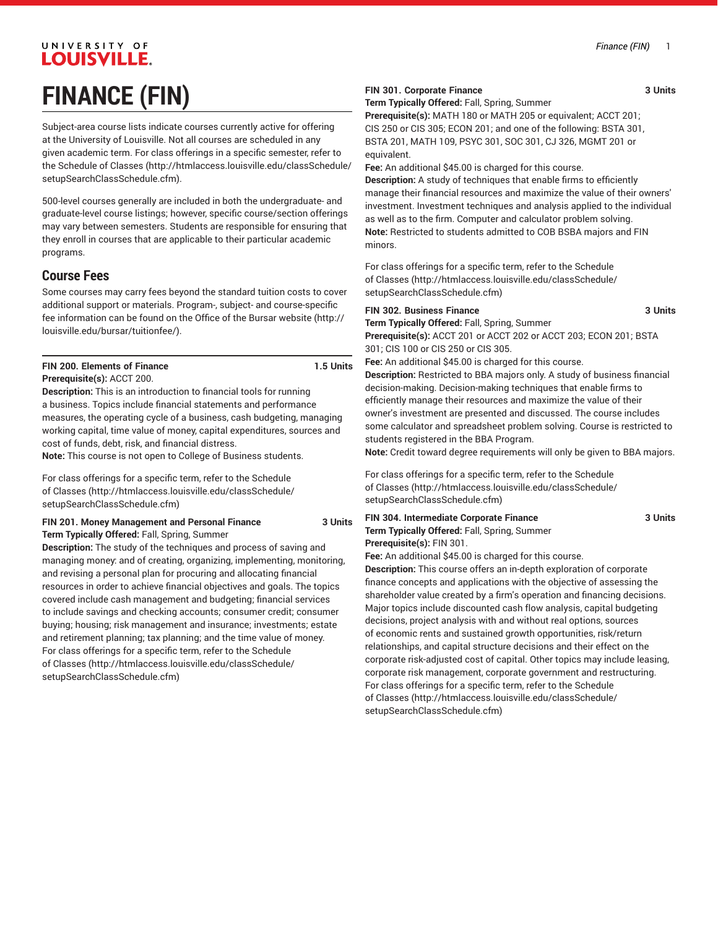# UNIVERSITY OF **LOUISVILLE. FINANCE (FIN)**

Subject-area course lists indicate courses currently active for offering at the University of Louisville. Not all courses are scheduled in any given academic term. For class offerings in a specific semester, refer to the [Schedule of Classes](http://htmlaccess.louisville.edu/classSchedule/setupSearchClassSchedule.cfm) ([http://htmlaccess.louisville.edu/classSchedule/](http://htmlaccess.louisville.edu/classSchedule/setupSearchClassSchedule.cfm) [setupSearchClassSchedule.cfm\)](http://htmlaccess.louisville.edu/classSchedule/setupSearchClassSchedule.cfm).

500-level courses generally are included in both the undergraduate- and graduate-level course listings; however, specific course/section offerings may vary between semesters. Students are responsible for ensuring that they enroll in courses that are applicable to their particular academic programs.

### **Course Fees**

Some courses may carry fees beyond the standard tuition costs to cover additional support or materials. Program-, subject- and course-specific fee information can be found on the [Office of the Bursar website](http://louisville.edu/bursar/tuitionfee/) ([http://](http://louisville.edu/bursar/tuitionfee/) [louisville.edu/bursar/tuitionfee/](http://louisville.edu/bursar/tuitionfee/)).

# **FIN 200. Elements of Finance 1.5 Units**

#### **Prerequisite(s):** ACCT 200.

**Description:** This is an introduction to financial tools for running a business. Topics include financial statements and performance measures, the operating cycle of a business, cash budgeting, managing working capital, time value of money, capital expenditures, sources and cost of funds, debt, risk, and financial distress.

**Note:** This course is not open to College of Business students.

For class offerings for a specific term, refer to the [Schedule](http://htmlaccess.louisville.edu/classSchedule/setupSearchClassSchedule.cfm) [of Classes \(http://htmlaccess.louisville.edu/classSchedule/](http://htmlaccess.louisville.edu/classSchedule/setupSearchClassSchedule.cfm) [setupSearchClassSchedule.cfm\)](http://htmlaccess.louisville.edu/classSchedule/setupSearchClassSchedule.cfm)

#### **FIN 201. Money Management and Personal Finance 3 Units Term Typically Offered:** Fall, Spring, Summer

**Description:** The study of the techniques and process of saving and managing money: and of creating, organizing, implementing, monitoring, and revising a personal plan for procuring and allocating financial resources in order to achieve financial objectives and goals. The topics covered include cash management and budgeting; financial services to include savings and checking accounts; consumer credit; consumer buying; housing; risk management and insurance; investments; estate and retirement planning; tax planning; and the time value of money. For class offerings for a specific term, refer to the [Schedule](http://htmlaccess.louisville.edu/classSchedule/setupSearchClassSchedule.cfm) [of Classes \(http://htmlaccess.louisville.edu/classSchedule/](http://htmlaccess.louisville.edu/classSchedule/setupSearchClassSchedule.cfm) [setupSearchClassSchedule.cfm\)](http://htmlaccess.louisville.edu/classSchedule/setupSearchClassSchedule.cfm)

### **FIN 301. Corporate Finance** 3 Units

**Term Typically Offered:** Fall, Spring, Summer

**Prerequisite(s):** MATH 180 or MATH 205 or equivalent; ACCT 201; CIS 250 or CIS 305; ECON 201; and one of the following: BSTA 301, BSTA 201, MATH 109, PSYC 301, SOC 301, CJ 326, MGMT 201 or equivalent.

**Fee:** An additional \$45.00 is charged for this course.

**Description:** A study of techniques that enable firms to efficiently manage their financial resources and maximize the value of their owners' investment. Investment techniques and analysis applied to the individual as well as to the firm. Computer and calculator problem solving. **Note:** Restricted to students admitted to COB BSBA majors and FIN minors.

For class offerings for a specific term, refer to the [Schedule](http://htmlaccess.louisville.edu/classSchedule/setupSearchClassSchedule.cfm) [of Classes](http://htmlaccess.louisville.edu/classSchedule/setupSearchClassSchedule.cfm) ([http://htmlaccess.louisville.edu/classSchedule/](http://htmlaccess.louisville.edu/classSchedule/setupSearchClassSchedule.cfm) [setupSearchClassSchedule.cfm\)](http://htmlaccess.louisville.edu/classSchedule/setupSearchClassSchedule.cfm)

### **FIN 302. Business Finance 3 Units**

**Term Typically Offered:** Fall, Spring, Summer **Prerequisite(s):** ACCT 201 or ACCT 202 or ACCT 203; ECON 201; BSTA 301; CIS 100 or CIS 250 or CIS 305.

**Fee:** An additional \$45.00 is charged for this course. **Description:** Restricted to BBA majors only. A study of business financial decision-making. Decision-making techniques that enable firms to efficiently manage their resources and maximize the value of their

owner's investment are presented and discussed. The course includes some calculator and spreadsheet problem solving. Course is restricted to students registered in the BBA Program.

**Note:** Credit toward degree requirements will only be given to BBA majors.

For class offerings for a specific term, refer to the [Schedule](http://htmlaccess.louisville.edu/classSchedule/setupSearchClassSchedule.cfm) [of Classes](http://htmlaccess.louisville.edu/classSchedule/setupSearchClassSchedule.cfm) ([http://htmlaccess.louisville.edu/classSchedule/](http://htmlaccess.louisville.edu/classSchedule/setupSearchClassSchedule.cfm) [setupSearchClassSchedule.cfm\)](http://htmlaccess.louisville.edu/classSchedule/setupSearchClassSchedule.cfm)

# **FIN 304. Intermediate Corporate Finance 3 Units Term Typically Offered:** Fall, Spring, Summer

**Prerequisite(s):** FIN 301. **Fee:** An additional \$45.00 is charged for this course.

**Description:** This course offers an in-depth exploration of corporate finance concepts and applications with the objective of assessing the shareholder value created by a firm's operation and financing decisions. Major topics include discounted cash flow analysis, capital budgeting decisions, project analysis with and without real options, sources of economic rents and sustained growth opportunities, risk/return relationships, and capital structure decisions and their effect on the corporate risk-adjusted cost of capital. Other topics may include leasing, corporate risk management, corporate government and restructuring. For class offerings for a specific term, refer to the [Schedule](http://htmlaccess.louisville.edu/classSchedule/setupSearchClassSchedule.cfm) [of Classes](http://htmlaccess.louisville.edu/classSchedule/setupSearchClassSchedule.cfm) ([http://htmlaccess.louisville.edu/classSchedule/](http://htmlaccess.louisville.edu/classSchedule/setupSearchClassSchedule.cfm) [setupSearchClassSchedule.cfm\)](http://htmlaccess.louisville.edu/classSchedule/setupSearchClassSchedule.cfm)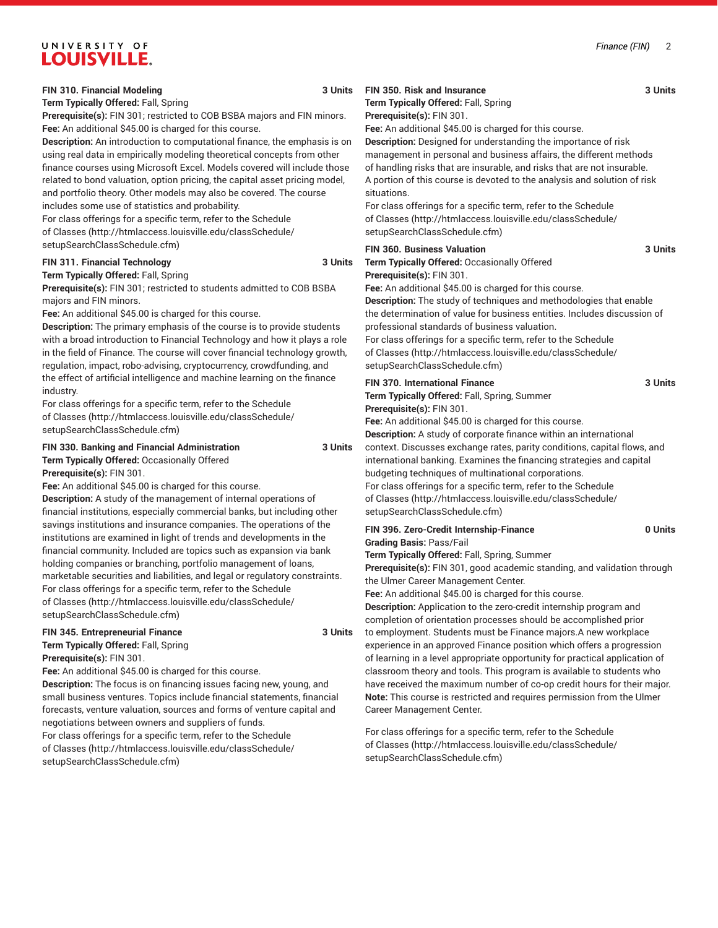# UNIVERSITY OF **LOUISVILLE.**

### **FIN 310. Financial Modeling 3 Units**

**Term Typically Offered:** Fall, Spring

**Prerequisite(s):** FIN 301; restricted to COB BSBA majors and FIN minors. **Fee:** An additional \$45.00 is charged for this course.

**Description:** An introduction to computational finance, the emphasis is on using real data in empirically modeling theoretical concepts from other finance courses using Microsoft Excel. Models covered will include those related to bond valuation, option pricing, the capital asset pricing model, and portfolio theory. Other models may also be covered. The course includes some use of statistics and probability.

For class offerings for a specific term, refer to the [Schedule](http://htmlaccess.louisville.edu/classSchedule/setupSearchClassSchedule.cfm) [of Classes \(http://htmlaccess.louisville.edu/classSchedule/](http://htmlaccess.louisville.edu/classSchedule/setupSearchClassSchedule.cfm) [setupSearchClassSchedule.cfm\)](http://htmlaccess.louisville.edu/classSchedule/setupSearchClassSchedule.cfm)

#### **FIN 311. Financial Technology 3 Units**

**Term Typically Offered:** Fall, Spring

**Prerequisite(s):** FIN 301; restricted to students admitted to COB BSBA majors and FIN minors.

**Fee:** An additional \$45.00 is charged for this course.

**Description:** The primary emphasis of the course is to provide students with a broad introduction to Financial Technology and how it plays a role in the field of Finance. The course will cover financial technology growth, regulation, impact, robo-advising, cryptocurrency, crowdfunding, and the effect of artificial intelligence and machine learning on the finance industry.

For class offerings for a specific term, refer to the [Schedule](http://htmlaccess.louisville.edu/classSchedule/setupSearchClassSchedule.cfm) [of Classes \(http://htmlaccess.louisville.edu/classSchedule/](http://htmlaccess.louisville.edu/classSchedule/setupSearchClassSchedule.cfm) [setupSearchClassSchedule.cfm\)](http://htmlaccess.louisville.edu/classSchedule/setupSearchClassSchedule.cfm)

## **FIN 330. Banking and Financial Administration 3 Units**

**Term Typically Offered:** Occasionally Offered

**Prerequisite(s):** FIN 301.

**Fee:** An additional \$45.00 is charged for this course.

**Description:** A study of the management of internal operations of financial institutions, especially commercial banks, but including other savings institutions and insurance companies. The operations of the institutions are examined in light of trends and developments in the financial community. Included are topics such as expansion via bank holding companies or branching, portfolio management of loans, marketable securities and liabilities, and legal or regulatory constraints. For class offerings for a specific term, refer to the [Schedule](http://htmlaccess.louisville.edu/classSchedule/setupSearchClassSchedule.cfm) [of Classes \(http://htmlaccess.louisville.edu/classSchedule/](http://htmlaccess.louisville.edu/classSchedule/setupSearchClassSchedule.cfm) [setupSearchClassSchedule.cfm\)](http://htmlaccess.louisville.edu/classSchedule/setupSearchClassSchedule.cfm)

#### **FIN 345. Entrepreneurial Finance 3 Units Term Typically Offered:** Fall, Spring

**Prerequisite(s):** FIN 301. **Fee:** An additional \$45.00 is charged for this course.

**Description:** The focus is on financing issues facing new, young, and small business ventures. Topics include financial statements, financial forecasts, venture valuation, sources and forms of venture capital and negotiations between owners and suppliers of funds. For class offerings for a specific term, refer to the [Schedule](http://htmlaccess.louisville.edu/classSchedule/setupSearchClassSchedule.cfm) [of Classes \(http://htmlaccess.louisville.edu/classSchedule/](http://htmlaccess.louisville.edu/classSchedule/setupSearchClassSchedule.cfm)

[setupSearchClassSchedule.cfm\)](http://htmlaccess.louisville.edu/classSchedule/setupSearchClassSchedule.cfm)

### **FIN 350. Risk and Insurance 3 Units**

**Term Typically Offered:** Fall, Spring

### **Prerequisite(s):** FIN 301.

**Fee:** An additional \$45.00 is charged for this course.

**Description:** Designed for understanding the importance of risk management in personal and business affairs, the different methods of handling risks that are insurable, and risks that are not insurable. A portion of this course is devoted to the analysis and solution of risk situations.

For class offerings for a specific term, refer to the [Schedule](http://htmlaccess.louisville.edu/classSchedule/setupSearchClassSchedule.cfm) [of Classes](http://htmlaccess.louisville.edu/classSchedule/setupSearchClassSchedule.cfm) ([http://htmlaccess.louisville.edu/classSchedule/](http://htmlaccess.louisville.edu/classSchedule/setupSearchClassSchedule.cfm) [setupSearchClassSchedule.cfm\)](http://htmlaccess.louisville.edu/classSchedule/setupSearchClassSchedule.cfm)

### **FIN 360. Business Valuation 3 Units**

**Term Typically Offered:** Occasionally Offered

**Prerequisite(s):** FIN 301.

**Fee:** An additional \$45.00 is charged for this course.

**Description:** The study of techniques and methodologies that enable the determination of value for business entities. Includes discussion of professional standards of business valuation. For class offerings for a specific term, refer to the [Schedule](http://htmlaccess.louisville.edu/classSchedule/setupSearchClassSchedule.cfm) [of Classes](http://htmlaccess.louisville.edu/classSchedule/setupSearchClassSchedule.cfm) ([http://htmlaccess.louisville.edu/classSchedule/](http://htmlaccess.louisville.edu/classSchedule/setupSearchClassSchedule.cfm) [setupSearchClassSchedule.cfm\)](http://htmlaccess.louisville.edu/classSchedule/setupSearchClassSchedule.cfm)

### **FIN 370. International Finance 3 Units**

**Term Typically Offered:** Fall, Spring, Summer **Prerequisite(s):** FIN 301.

**Fee:** An additional \$45.00 is charged for this course. **Description:** A study of corporate finance within an international context. Discusses exchange rates, parity conditions, capital flows, and international banking. Examines the financing strategies and capital budgeting techniques of multinational corporations. For class offerings for a specific term, refer to the [Schedule](http://htmlaccess.louisville.edu/classSchedule/setupSearchClassSchedule.cfm) [of Classes](http://htmlaccess.louisville.edu/classSchedule/setupSearchClassSchedule.cfm) ([http://htmlaccess.louisville.edu/classSchedule/](http://htmlaccess.louisville.edu/classSchedule/setupSearchClassSchedule.cfm) [setupSearchClassSchedule.cfm\)](http://htmlaccess.louisville.edu/classSchedule/setupSearchClassSchedule.cfm)

### **FIN 396. Zero-Credit Internship-Finance 0 Units**

**Grading Basis:** Pass/Fail

**Term Typically Offered:** Fall, Spring, Summer **Prerequisite(s):** FIN 301, good academic standing, and validation through the Ulmer Career Management Center.

**Fee:** An additional \$45.00 is charged for this course.

**Description:** Application to the zero-credit internship program and completion of orientation processes should be accomplished prior to employment. Students must be Finance majors.A new workplace experience in an approved Finance position which offers a progression of learning in a level appropriate opportunity for practical application of classroom theory and tools. This program is available to students who have received the maximum number of co-op credit hours for their major. **Note:** This course is restricted and requires permission from the Ulmer Career Management Center.

For class offerings for a specific term, refer to the [Schedule](http://htmlaccess.louisville.edu/classSchedule/setupSearchClassSchedule.cfm) [of Classes](http://htmlaccess.louisville.edu/classSchedule/setupSearchClassSchedule.cfm) ([http://htmlaccess.louisville.edu/classSchedule/](http://htmlaccess.louisville.edu/classSchedule/setupSearchClassSchedule.cfm) [setupSearchClassSchedule.cfm\)](http://htmlaccess.louisville.edu/classSchedule/setupSearchClassSchedule.cfm)

*Finance (FIN)* 2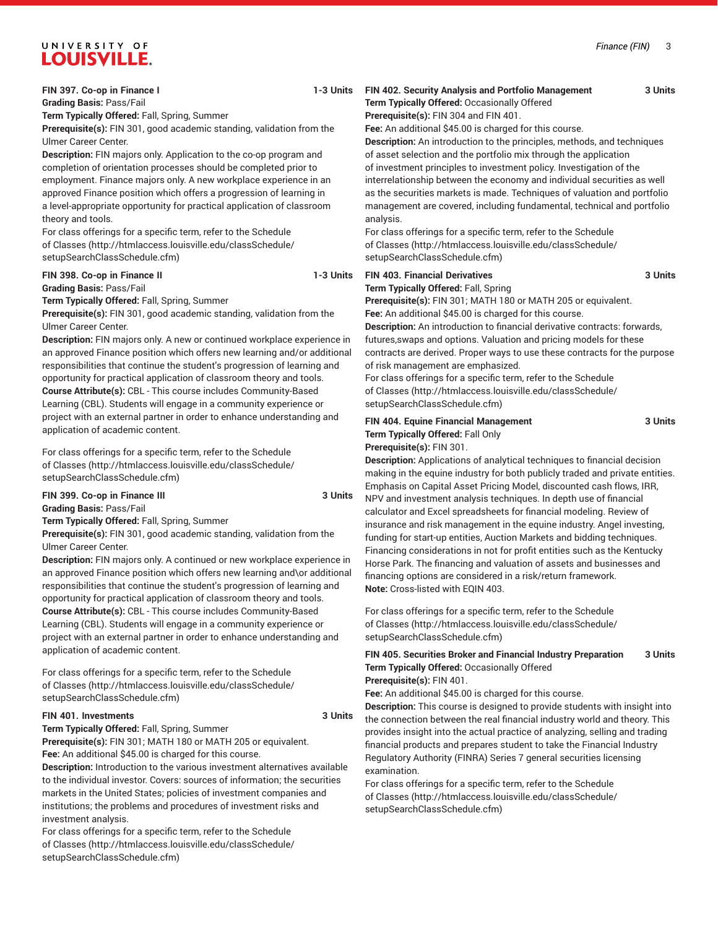# UNIVERSITY OF **LOUISVILLE.**

**FIN 397. Co-op in Finance I 1-3 Units Grading Basis:** Pass/Fail

**Term Typically Offered:** Fall, Spring, Summer

**Prerequisite(s):** FIN 301, good academic standing, validation from the Ulmer Career Center.

**Description:** FIN majors only. Application to the co-op program and completion of orientation processes should be completed prior to employment. Finance majors only. A new workplace experience in an approved Finance position which offers a progression of learning in a level-appropriate opportunity for practical application of classroom theory and tools.

For class offerings for a specific term, refer to the [Schedule](http://htmlaccess.louisville.edu/classSchedule/setupSearchClassSchedule.cfm) [of Classes \(http://htmlaccess.louisville.edu/classSchedule/](http://htmlaccess.louisville.edu/classSchedule/setupSearchClassSchedule.cfm) [setupSearchClassSchedule.cfm\)](http://htmlaccess.louisville.edu/classSchedule/setupSearchClassSchedule.cfm)

#### **FIN 398. Co-op in Finance II** 1-3 Units **Grading Basis:** Pass/Fail

**Term Typically Offered:** Fall, Spring, Summer

**Prerequisite(s):** FIN 301, good academic standing, validation from the Ulmer Career Center.

**Description:** FIN majors only. A new or continued workplace experience in an approved Finance position which offers new learning and/or additional responsibilities that continue the student's progression of learning and opportunity for practical application of classroom theory and tools. **Course Attribute(s):** CBL - This course includes Community-Based Learning (CBL). Students will engage in a community experience or project with an external partner in order to enhance understanding and application of academic content.

For class offerings for a specific term, refer to the [Schedule](http://htmlaccess.louisville.edu/classSchedule/setupSearchClassSchedule.cfm) [of Classes \(http://htmlaccess.louisville.edu/classSchedule/](http://htmlaccess.louisville.edu/classSchedule/setupSearchClassSchedule.cfm) [setupSearchClassSchedule.cfm\)](http://htmlaccess.louisville.edu/classSchedule/setupSearchClassSchedule.cfm)

**FIN 399. Co-op in Finance III** 3 Units **Grading Basis:** Pass/Fail

**Term Typically Offered:** Fall, Spring, Summer

**Prerequisite(s):** FIN 301, good academic standing, validation from the Ulmer Career Center.

**Description:** FIN majors only. A continued or new workplace experience in an approved Finance position which offers new learning and\or additional responsibilities that continue the student's progression of learning and opportunity for practical application of classroom theory and tools. **Course Attribute(s):** CBL - This course includes Community-Based Learning (CBL). Students will engage in a community experience or project with an external partner in order to enhance understanding and application of academic content.

For class offerings for a specific term, refer to the [Schedule](http://htmlaccess.louisville.edu/classSchedule/setupSearchClassSchedule.cfm) [of Classes \(http://htmlaccess.louisville.edu/classSchedule/](http://htmlaccess.louisville.edu/classSchedule/setupSearchClassSchedule.cfm) [setupSearchClassSchedule.cfm\)](http://htmlaccess.louisville.edu/classSchedule/setupSearchClassSchedule.cfm)

### **FIN 401. Investments 3 Units**

**Term Typically Offered:** Fall, Spring, Summer

**Prerequisite(s):** FIN 301; MATH 180 or MATH 205 or equivalent. **Fee:** An additional \$45.00 is charged for this course.

**Description:** Introduction to the various investment alternatives available to the individual investor. Covers: sources of information; the securities markets in the United States; policies of investment companies and institutions; the problems and procedures of investment risks and investment analysis.

For class offerings for a specific term, refer to the [Schedule](http://htmlaccess.louisville.edu/classSchedule/setupSearchClassSchedule.cfm) [of Classes \(http://htmlaccess.louisville.edu/classSchedule/](http://htmlaccess.louisville.edu/classSchedule/setupSearchClassSchedule.cfm) [setupSearchClassSchedule.cfm\)](http://htmlaccess.louisville.edu/classSchedule/setupSearchClassSchedule.cfm)

### **FIN 402. Security Analysis and Portfolio Management 3 Units**

**Term Typically Offered:** Occasionally Offered **Prerequisite(s):** FIN 304 and FIN 401.

**Fee:** An additional \$45.00 is charged for this course.

**Description:** An introduction to the principles, methods, and techniques of asset selection and the portfolio mix through the application of investment principles to investment policy. Investigation of the interrelationship between the economy and individual securities as well as the securities markets is made. Techniques of valuation and portfolio management are covered, including fundamental, technical and portfolio analysis.

For class offerings for a specific term, refer to the [Schedule](http://htmlaccess.louisville.edu/classSchedule/setupSearchClassSchedule.cfm) [of Classes](http://htmlaccess.louisville.edu/classSchedule/setupSearchClassSchedule.cfm) ([http://htmlaccess.louisville.edu/classSchedule/](http://htmlaccess.louisville.edu/classSchedule/setupSearchClassSchedule.cfm) [setupSearchClassSchedule.cfm\)](http://htmlaccess.louisville.edu/classSchedule/setupSearchClassSchedule.cfm)

# **FIN 403. Financial Derivatives 3 Units**

**Term Typically Offered:** Fall, Spring **Prerequisite(s):** FIN 301; MATH 180 or MATH 205 or equivalent.

**Fee:** An additional \$45.00 is charged for this course. **Description:** An introduction to financial derivative contracts: forwards, futures,swaps and options. Valuation and pricing models for these contracts are derived. Proper ways to use these contracts for the purpose of risk management are emphasized.

For class offerings for a specific term, refer to the [Schedule](http://htmlaccess.louisville.edu/classSchedule/setupSearchClassSchedule.cfm) [of Classes](http://htmlaccess.louisville.edu/classSchedule/setupSearchClassSchedule.cfm) ([http://htmlaccess.louisville.edu/classSchedule/](http://htmlaccess.louisville.edu/classSchedule/setupSearchClassSchedule.cfm) [setupSearchClassSchedule.cfm\)](http://htmlaccess.louisville.edu/classSchedule/setupSearchClassSchedule.cfm)

#### **FIN 404. Equine Financial Management 3 Units Term Typically Offered:** Fall Only **Prerequisite(s):** FIN 301.

**Description:** Applications of analytical techniques to financial decision making in the equine industry for both publicly traded and private entities. Emphasis on Capital Asset Pricing Model, discounted cash flows, IRR, NPV and investment analysis techniques. In depth use of financial calculator and Excel spreadsheets for financial modeling. Review of insurance and risk management in the equine industry. Angel investing, funding for start-up entities, Auction Markets and bidding techniques. Financing considerations in not for profit entities such as the Kentucky Horse Park. The financing and valuation of assets and businesses and financing options are considered in a risk/return framework. **Note:** Cross-listed with EQIN 403.

For class offerings for a specific term, refer to the [Schedule](http://htmlaccess.louisville.edu/classSchedule/setupSearchClassSchedule.cfm) [of Classes](http://htmlaccess.louisville.edu/classSchedule/setupSearchClassSchedule.cfm) ([http://htmlaccess.louisville.edu/classSchedule/](http://htmlaccess.louisville.edu/classSchedule/setupSearchClassSchedule.cfm) [setupSearchClassSchedule.cfm\)](http://htmlaccess.louisville.edu/classSchedule/setupSearchClassSchedule.cfm)

#### **FIN 405. Securities Broker and Financial Industry Preparation 3 Units Term Typically Offered:** Occasionally Offered **Prerequisite(s):** FIN 401.

**Fee:** An additional \$45.00 is charged for this course.

**Description:** This course is designed to provide students with insight into the connection between the real financial industry world and theory. This provides insight into the actual practice of analyzing, selling and trading financial products and prepares student to take the Financial Industry Regulatory Authority (FINRA) Series 7 general securities licensing examination.

For class offerings for a specific term, refer to the [Schedule](http://htmlaccess.louisville.edu/classSchedule/setupSearchClassSchedule.cfm) [of Classes](http://htmlaccess.louisville.edu/classSchedule/setupSearchClassSchedule.cfm) ([http://htmlaccess.louisville.edu/classSchedule/](http://htmlaccess.louisville.edu/classSchedule/setupSearchClassSchedule.cfm) [setupSearchClassSchedule.cfm\)](http://htmlaccess.louisville.edu/classSchedule/setupSearchClassSchedule.cfm)